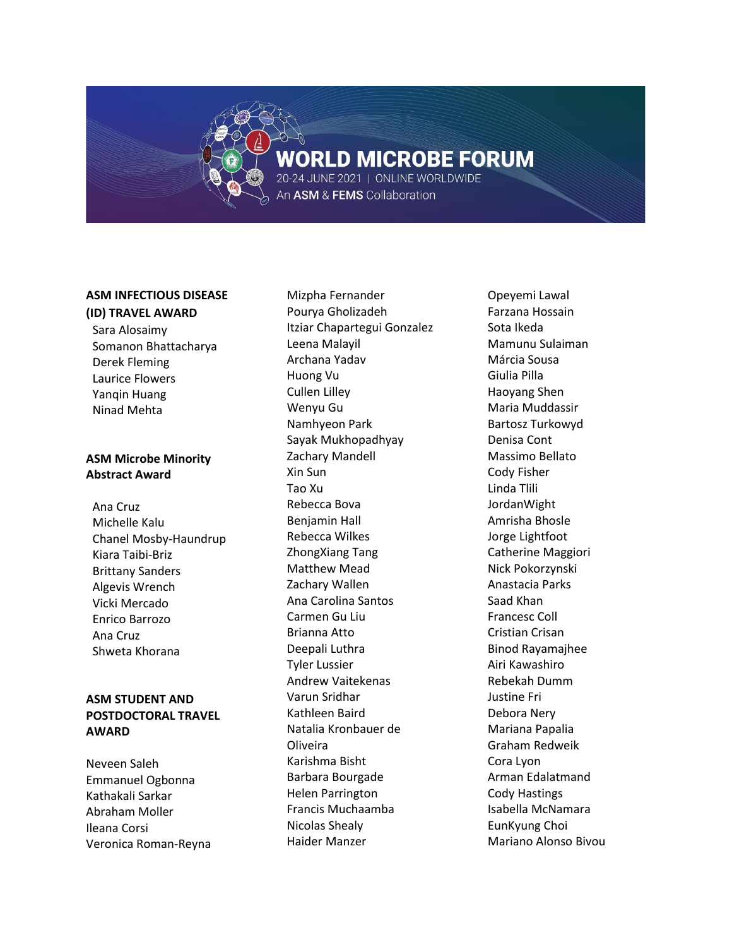# **WORLD MICROBE FORUM**

20-24 JUNE 2021 | ONLINE WORLDWIDE An ASM & FEMS Collaboration

# **ASM INFECTIOUS DISEASE**

#### **(ID) TRAVEL AWARD**

Sara Alosaimy Somanon Bhattacharya Derek Fleming Laurice Flowers Yanqin Huang Ninad Mehta

# **ASM Microbe Minority Abstract Award**

Ana Cruz Michelle Kalu Chanel Mosby-Haundrup Kiara Taibi-Briz Brittany Sanders Algevis Wrench Vicki Mercado Enrico Barrozo Ana Cruz Shweta Khorana

# **ASM STUDENT AND POSTDOCTORAL TRAVEL AWARD**

Neveen Saleh Emmanuel Ogbonna Kathakali Sarkar Abraham Moller Ileana Corsi Veronica Roman-Reyna

Mizpha Fernander Pourya Gholizadeh Itziar Chapartegui Gonzalez Leena Malayil Archana Yadav Huong Vu Cullen Lilley Wenyu Gu Namhyeon Park Sayak Mukhopadhyay Zachary Mandell Xin Sun Tao Xu Rebecca Bova Benjamin Hall Rebecca Wilkes ZhongXiang Tang Matthew Mead Zachary Wallen Ana Carolina Santos Carmen Gu Liu Brianna Atto Deepali Luthra Tyler Lussier Andrew Vaitekenas Varun Sridhar Kathleen Baird Natalia Kronbauer de Oliveira Karishma Bisht Barbara Bourgade Helen Parrington Francis Muchaamba Nicolas Shealy Haider Manzer

Opeyemi Lawal Farzana Hossain Sota Ikeda Mamunu Sulaiman Márcia Sousa Giulia Pilla Haoyang Shen Maria Muddassir Bartosz Turkowyd Denisa Cont Massimo Bellato Cody Fisher Linda Tlili JordanWight Amrisha Bhosle Jorge Lightfoot Catherine Maggiori Nick Pokorzynski Anastacia Parks Saad Khan Francesc Coll Cristian Crisan Binod Rayamajhee Airi Kawashiro Rebekah Dumm Justine Fri Debora Nery Mariana Papalia Graham Redweik Cora Lyon Arman Edalatmand Cody Hastings Isabella McNamara EunKyung Choi Mariano Alonso Bivou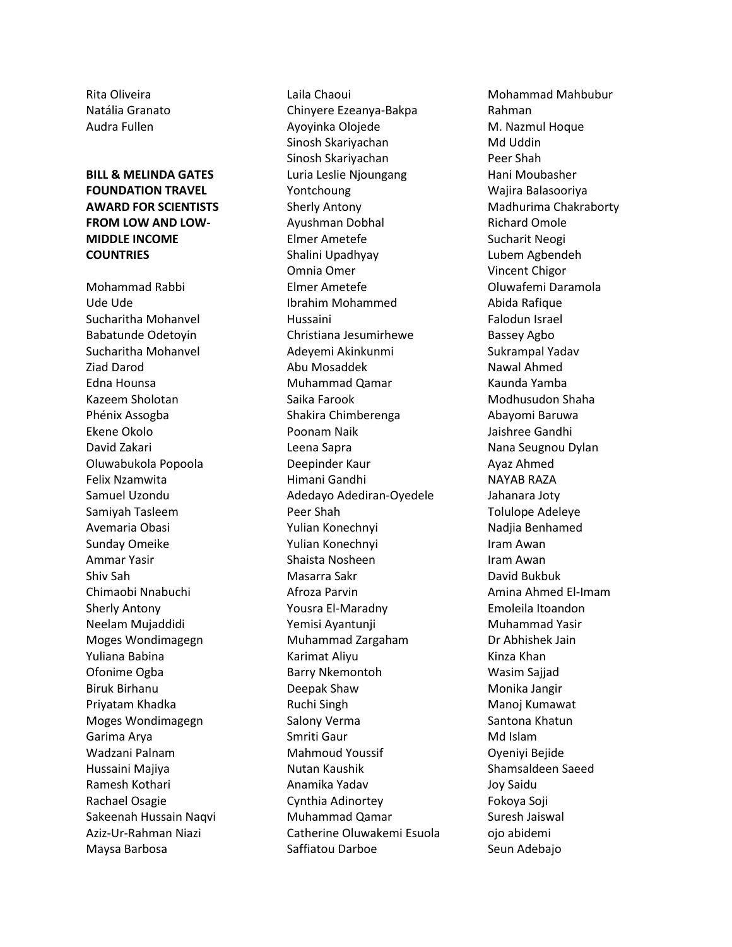Rita Oliveira Natália Granato Audra Fullen

# **BILL & MELINDA GATES FOUNDATION TRAVEL AWARD FOR SCIENTISTS FROM LOW AND LOW-MIDDLE INCOME COUNTRIES**

Mohammad Rabbi Ude Ude Sucharitha Mohanvel Babatunde Odetoyin Sucharitha Mohanvel Ziad Darod Edna Hounsa Kazeem Sholotan Phénix Assogba Ekene Okolo David Zakari Oluwabukola Popoola Felix Nzamwita Samuel Uzondu Samiyah Tasleem Avemaria Obasi Sunday Omeike Ammar Yasir Shiv Sah Chimaobi Nnabuchi Sherly Antony Neelam Mujaddidi Moges Wondimagegn Yuliana Babina Ofonime Ogba Biruk Birhanu Priyatam Khadka Moges Wondimagegn Garima Arya Wadzani Palnam Hussaini Majiya Ramesh Kothari Rachael Osagie Sakeenah Hussain Naqvi Aziz-Ur-Rahman Niazi Maysa Barbosa

Laila Chaoui Chinyere Ezeanya-Bakpa Ayoyinka Olojede Sinosh Skariyachan Sinosh Skariyachan Luria Leslie Njoungang Yontchoung Sherly Antony Ayushman Dobhal Elmer Ametefe Shalini Upadhyay Omnia Omer Elmer Ametefe Ibrahim Mohammed Hussaini Christiana Jesumirhewe Adeyemi Akinkunmi Abu Mosaddek Muhammad Qamar Saika Farook Shakira Chimberenga Poonam Naik Leena Sapra Deepinder Kaur Himani Gandhi Adedayo Adediran-Oyedele Peer Shah Yulian Konechnyi Yulian Konechnyi Shaista Nosheen Masarra Sakr Afroza Parvin Yousra El-Maradny Yemisi Ayantunji Muhammad Zargaham Karimat Aliyu Barry Nkemontoh Deepak Shaw Ruchi Singh Salony Verma Smriti Gaur Mahmoud Youssif Nutan Kaushik Anamika Yadav Cynthia Adinortey Muhammad Qamar Catherine Oluwakemi Esuola Saffiatou Darboe

Mohammad Mahbubur Rahman M. Nazmul Hoque Md Uddin Peer Shah Hani Moubasher Wajira Balasooriya Madhurima Chakraborty Richard Omole Sucharit Neogi Lubem Agbendeh Vincent Chigor Oluwafemi Daramola Abida Rafique Falodun Israel Bassey Agbo Sukrampal Yadav Nawal Ahmed Kaunda Yamba Modhusudon Shaha Abayomi Baruwa Jaishree Gandhi Nana Seugnou Dylan Ayaz Ahmed NAYAB RAZA Jahanara Joty Tolulope Adeleye Nadjia Benhamed Iram Awan Iram Awan David Bukbuk Amina Ahmed El-Imam Emoleila Itoandon Muhammad Yasir Dr Abhishek Jain Kinza Khan Wasim Sajjad Monika Jangir Manoj Kumawat Santona Khatun Md Islam Oyeniyi Bejide Shamsaldeen Saeed Joy Saidu Fokoya Soji Suresh Jaiswal ojo abidemi Seun Adebajo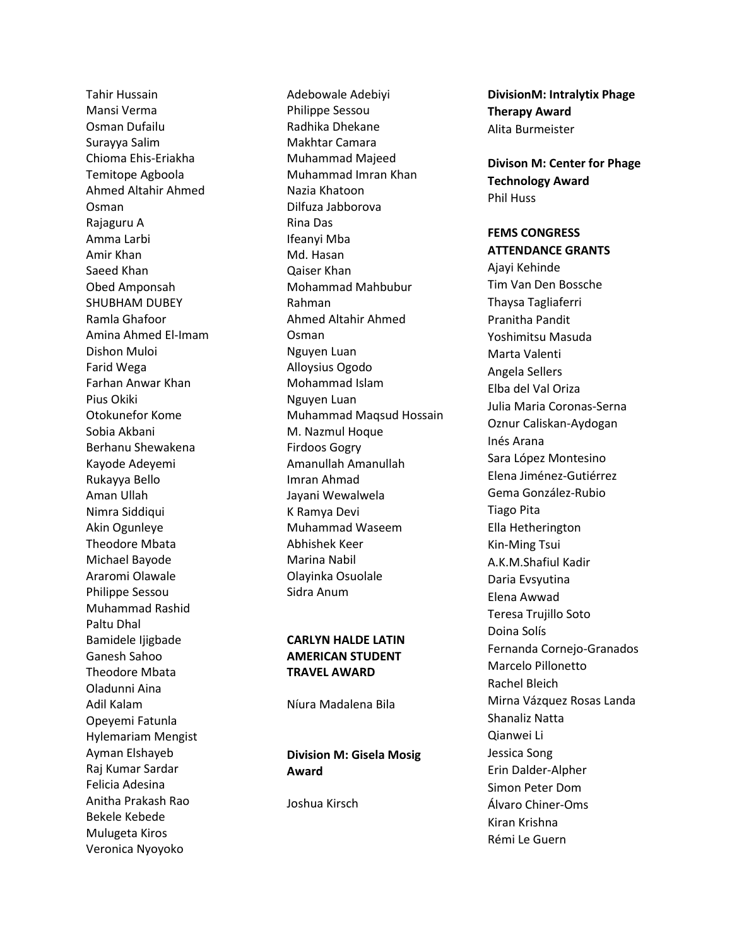Tahir Hussain Mansi Verma Osman Dufailu Surayya Salim Chioma Ehis -Eriakha Temitope Agboola Ahmed Altahir Ahmed Osman Rajaguru A Amma Larbi Amir Khan Saeed Khan Obed Amponsah SHUBHAM DUBEY Ramla Ghafoor Amina Ahmed El -Imam Dishon Muloi Farid Wega Farhan Anwar Khan Pius Okiki Otokunefor Kome Sobia Akbani Berhanu Shewakena Kayode Adeyemi Rukayya Bello Aman Ullah Nimra Siddiqui Akin Ogunleye Theodore Mbata Michael Bayode Araromi Olawale Philippe Sessou Muhammad Rashid Paltu Dhal Bamidele Ijigbade Ganesh Sahoo Theodore Mbata Oladunni Aina Adil Kalam Opeyemi Fatunla Hylemariam Mengist Ayman Elshayeb Raj Kumar Sardar Felicia Adesina Anitha Prakash Rao Bekele Kebede Mulugeta Kiros Veronica Nyoyoko

Adebowale Adebiyi Philippe Sessou Radhika Dhekane Makhtar Camara Muhammad Majeed Muhammad Imran Khan Nazia Khatoon Dilfuza Jabborova Rina Das Ifeanyi Mba Md. Hasan Qaiser Khan Mohammad Mahbubur Rahman Ahmed Altahir Ahmed Osman Nguyen Luan Alloysius Ogodo Mohammad Islam Nguyen Luan Muhammad Maqsud Hossain M. Nazmul Hoque Firdoos Gogry Amanullah Amanullah Imran Ahmad Jayani Wewalwela K Ramya Devi Muhammad Waseem Abhishek Keer Marina Nabil Olayinka Osuolale Sidra Anum

#### **CARLYN HALDE LATIN AMERICAN STUDENT TRAVEL AWARD**

Níura Madalena Bila

# **Division M: Gisela Mosig Award**

Joshua Kirsch

**DivisionM: Intralytix Phage Therapy Award** Alita Burmeister

**Divison M: Center for Phage Technology Award** Phil Huss

### **FEMS CONGRESS ATTENDANCE GRANTS**

Ajayi Kehinde Tim Van Den Bossche Thaysa Tagliaferri Pranitha Pandit Yoshimitsu Masuda Marta Valenti Angela Sellers Elba del Val Oriza Julia Maria Coronas -Serna Oznur Caliskan -Aydogan Inés Arana Sara López Montesino Elena Jiménez -Gutiérrez Gema González -Rubio Tiago Pita Ella Hetherington Kin -Ming Tsui A.K.M.Shafiul Kadir Daria Evsyutina Elena Awwad Teresa Trujillo Soto Doina Solís Fernanda Cornejo -Granados Marcelo Pillonetto Rachel Bleich Mirna Vázquez Rosas Landa Shanaliz Natta Qianwei Li Jessica Song Erin Dalder -Alpher Simon Peter Dom Álvaro Chiner -Oms Kiran Krishna Rémi Le Guern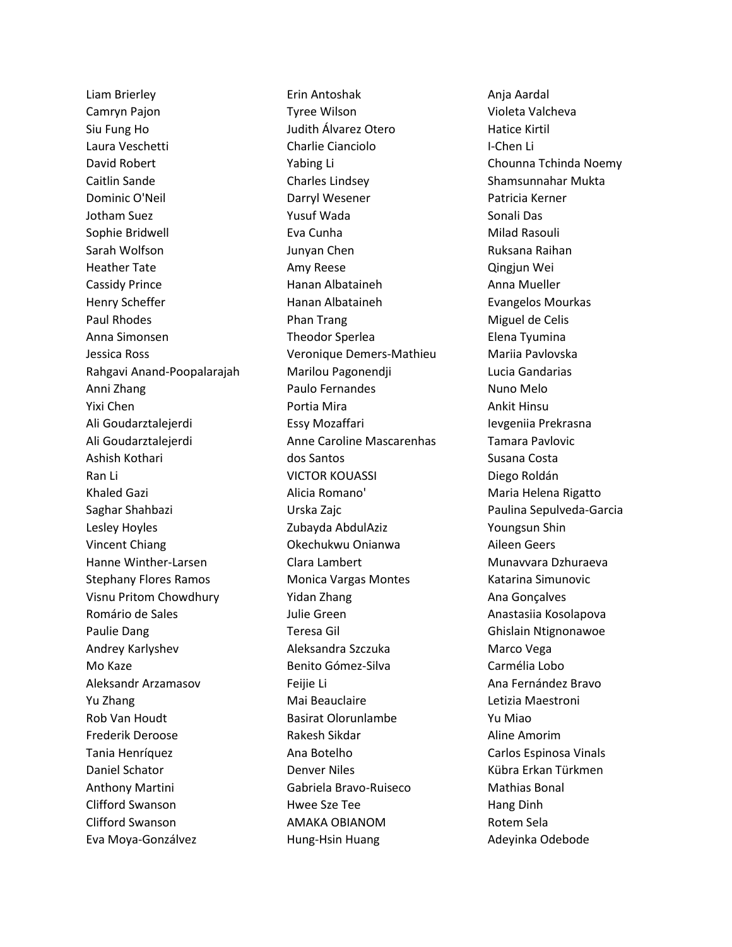Liam Brierley Camryn Pajon Siu Fung Ho Laura Veschetti David Robert Caitlin Sande Dominic O'Neil Jotham Suez Sophie Bridwell Sarah Wolfson Heather Tate Cassidy Prince Henry Scheffer Paul Rhodes Anna Simonsen Jessica Ross Rahgavi Anand-Poopalarajah Anni Zhang Yixi Chen Ali Goudarztalejerdi Ali Goudarztalejerdi Ashish Kothari Ran Li Khaled Gazi Saghar Shahbazi Lesley Hoyles Vincent Chiang Hanne Winther-Larsen Stephany Flores Ramos Visnu Pritom Chowdhury Romário de Sales Paulie Dang Andrey Karlyshev Mo Kaze Aleksandr Arzamasov Yu Zhang Rob Van Houdt Frederik Deroose Tania Henríquez Daniel Schator Anthony Martini Clifford Swanson Clifford Swanson Eva Moya-Gonzálvez

Erin Antoshak Tyree Wilson Judith Álvarez Otero Charlie Cianciolo Yabing Li Charles Lindsey Darryl Wesener Yusuf Wada Eva Cunha Junyan Chen Amy Reese Hanan Albataineh Hanan Albataineh Phan Trang Theodor Sperlea Veronique Demers-Mathieu Marilou Pagonendji Paulo Fernandes Portia Mira Essy Mozaffari Anne Caroline Mascarenhas dos Santos VICTOR KOUASSI Alicia Romano' Urska Zajc Zubayda AbdulAziz Okechukwu Onianwa Clara Lambert Monica Vargas Montes Yidan Zhang Julie Green Teresa Gil Aleksandra Szczuka Benito Gómez-Silva Feijie Li Mai Beauclaire Basirat Olorunlambe Rakesh Sikdar Ana Botelho Denver Niles Gabriela Bravo-Ruiseco Hwee Sze Tee AMAKA OBIANOM Hung-Hsin Huang

Anja Aardal Violeta Valcheva Hatice Kirtil I-Chen Li Chounna Tchinda Noemy Shamsunnahar Mukta Patricia Kerner Sonali Das Milad Rasouli Ruksana Raihan Qingjun Wei Anna Mueller Evangelos Mourkas Miguel de Celis Elena Tyumina Mariia Pavlovska Lucia Gandarias Nuno Melo Ankit Hinsu Ievgeniia Prekrasna Tamara Pavlovic Susana Costa Diego Roldán Maria Helena Rigatto Paulina Sepulveda-Garcia Youngsun Shin Aileen Geers Munavvara Dzhuraeva Katarina Simunovic Ana Gonçalves Anastasiia Kosolapova Ghislain Ntignonawoe Marco Vega Carmélia Lobo Ana Fernández Bravo Letizia Maestroni Yu Miao Aline Amorim Carlos Espinosa Vinals Kübra Erkan Türkmen Mathias Bonal Hang Dinh Rotem Sela Adeyinka Odebode